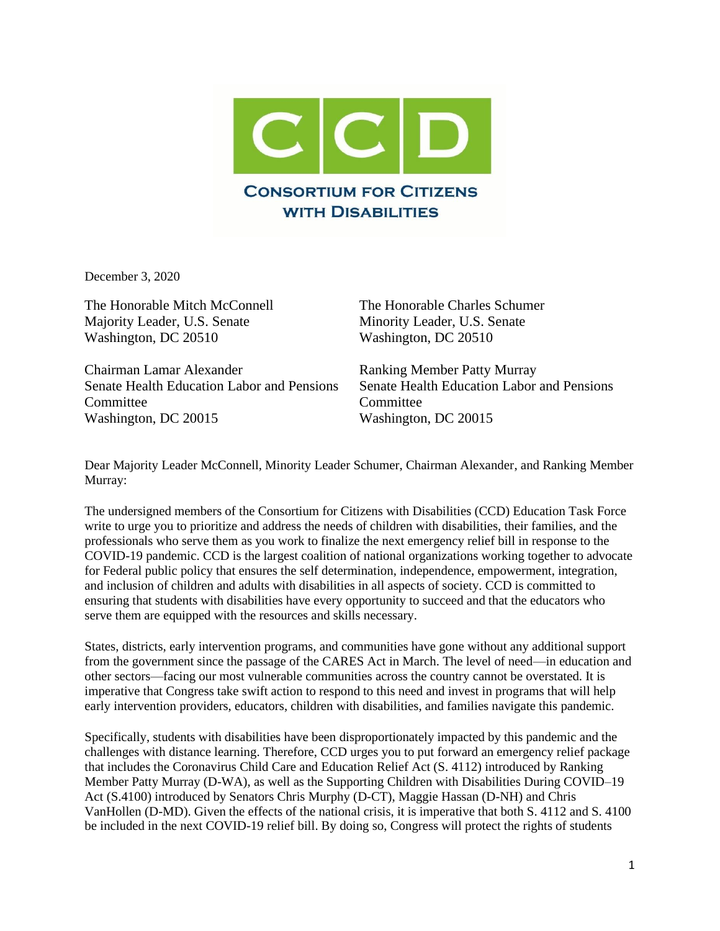

December 3, 2020

The Honorable Mitch McConnell Majority Leader, U.S. Senate Washington, DC 20510

Chairman Lamar Alexander Senate Health Education Labor and Pensions Committee Washington, DC 20015

The Honorable Charles Schumer Minority Leader, U.S. Senate Washington, DC 20510

Ranking Member Patty Murray Senate Health Education Labor and Pensions Committee Washington, DC 20015

Dear Majority Leader McConnell, Minority Leader Schumer, Chairman Alexander, and Ranking Member Murray:

The undersigned members of the Consortium for Citizens with Disabilities (CCD) Education Task Force write to urge you to prioritize and address the needs of children with disabilities, their families, and the professionals who serve them as you work to finalize the next emergency relief bill in response to the COVID-19 pandemic. CCD is the largest coalition of national organizations working together to advocate for Federal public policy that ensures the self determination, independence, empowerment, integration, and inclusion of children and adults with disabilities in all aspects of society. CCD is committed to ensuring that students with disabilities have every opportunity to succeed and that the educators who serve them are equipped with the resources and skills necessary.

States, districts, early intervention programs, and communities have gone without any additional support from the government since the passage of the CARES Act in March. The level of need—in education and other sectors—facing our most vulnerable communities across the country cannot be overstated. It is imperative that Congress take swift action to respond to this need and invest in programs that will help early intervention providers, educators, children with disabilities, and families navigate this pandemic.

Specifically, students with disabilities have been disproportionately impacted by this pandemic and the challenges with distance learning. Therefore, CCD urges you to put forward an emergency relief package that includes the Coronavirus Child Care and Education Relief Act (S. 4112) introduced by Ranking Member Patty Murray (D-WA), as well as the Supporting Children with Disabilities During COVID–19 Act (S.4100) introduced by Senators Chris Murphy (D-CT), Maggie Hassan (D-NH) and Chris VanHollen (D-MD). Given the effects of the national crisis, it is imperative that both S. 4112 and S. 4100 be included in the next COVID-19 relief bill. By doing so, Congress will protect the rights of students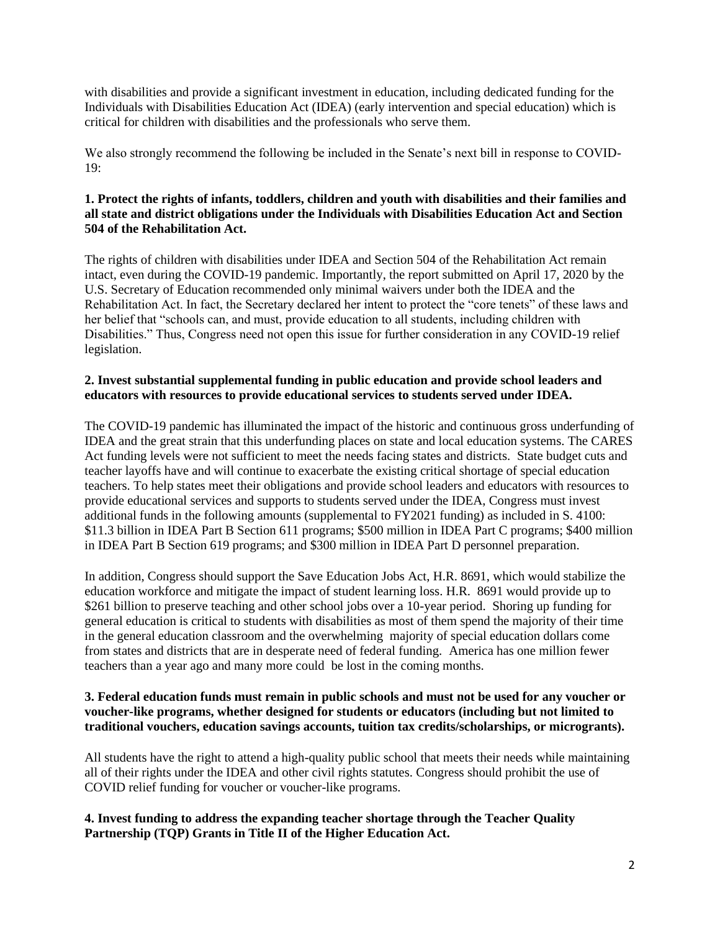with disabilities and provide a significant investment in education, including dedicated funding for the Individuals with Disabilities Education Act (IDEA) (early intervention and special education) which is critical for children with disabilities and the professionals who serve them.

We also strongly recommend the following be included in the Senate's next bill in response to COVID-19:

## **1. Protect the rights of infants, toddlers, children and youth with disabilities and their families and all state and district obligations under the Individuals with Disabilities Education Act and Section 504 of the Rehabilitation Act.**

The rights of children with disabilities under IDEA and Section 504 of the Rehabilitation Act remain intact, even during the COVID-19 pandemic. Importantly, the report submitted on April 17, 2020 by the U.S. Secretary of Education recommended only minimal waivers under both the IDEA and the Rehabilitation Act. In fact, the Secretary declared her intent to protect the "core tenets" of these laws and her belief that "schools can, and must, provide education to all students, including children with Disabilities." Thus, Congress need not open this issue for further consideration in any COVID-19 relief legislation.

## **2. Invest substantial supplemental funding in public education and provide school leaders and educators with resources to provide educational services to students served under IDEA.**

The COVID-19 pandemic has illuminated the impact of the historic and continuous gross underfunding of IDEA and the great strain that this underfunding places on state and local education systems. The CARES Act funding levels were not sufficient to meet the needs facing states and districts. State budget cuts and teacher layoffs have and will continue to exacerbate the existing critical shortage of special education teachers. To help states meet their obligations and provide school leaders and educators with resources to provide educational services and supports to students served under the IDEA, Congress must invest additional funds in the following amounts (supplemental to FY2021 funding) as included in S. 4100: \$11.3 billion in IDEA Part B Section 611 programs; \$500 million in IDEA Part C programs; \$400 million in IDEA Part B Section 619 programs; and \$300 million in IDEA Part D personnel preparation.

In addition, Congress should support the Save Education Jobs Act, H.R. 8691, which would stabilize the education workforce and mitigate the impact of student learning loss. H.R. 8691 would provide up to \$261 billion to preserve teaching and other school jobs over a 10-year period. Shoring up funding for general education is critical to students with disabilities as most of them spend the majority of their time in the general education classroom and the overwhelming majority of special education dollars come from states and districts that are in desperate need of federal funding. America has one million fewer teachers than a year ago and many more could be lost in the coming months.

## **3. Federal education funds must remain in public schools and must not be used for any voucher or voucher-like programs, whether designed for students or educators (including but not limited to traditional vouchers, education savings accounts, tuition tax credits/scholarships, or microgrants).**

All students have the right to attend a high-quality public school that meets their needs while maintaining all of their rights under the IDEA and other civil rights statutes. Congress should prohibit the use of COVID relief funding for voucher or voucher-like programs.

## **4. Invest funding to address the expanding teacher shortage through the Teacher Quality Partnership (TQP) Grants in Title II of the Higher Education Act.**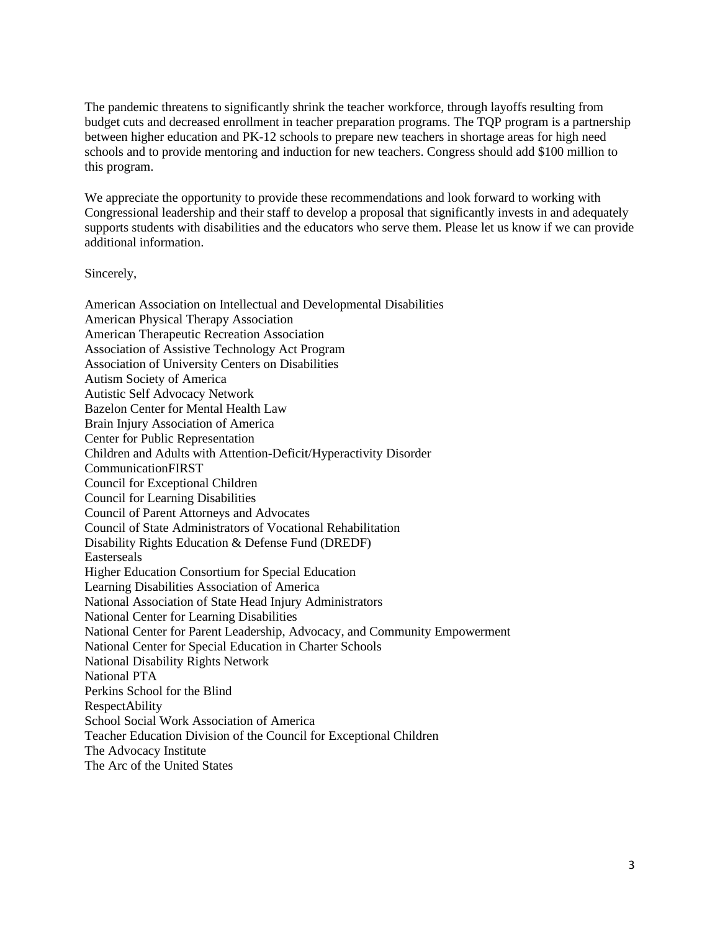The pandemic threatens to significantly shrink the teacher workforce, through layoffs resulting from budget cuts and decreased enrollment in teacher preparation programs. The TQP program is a partnership between higher education and PK-12 schools to prepare new teachers in shortage areas for high need schools and to provide mentoring and induction for new teachers. Congress should add \$100 million to this program.

We appreciate the opportunity to provide these recommendations and look forward to working with Congressional leadership and their staff to develop a proposal that significantly invests in and adequately supports students with disabilities and the educators who serve them. Please let us know if we can provide additional information.

Sincerely,

American Association on Intellectual and Developmental Disabilities American Physical Therapy Association American Therapeutic Recreation Association Association of Assistive Technology Act Program Association of University Centers on Disabilities Autism Society of America Autistic Self Advocacy Network Bazelon Center for Mental Health Law Brain Injury Association of America Center for Public Representation Children and Adults with Attention-Deficit/Hyperactivity Disorder CommunicationFIRST Council for Exceptional Children Council for Learning Disabilities Council of Parent Attorneys and Advocates Council of State Administrators of Vocational Rehabilitation Disability Rights Education & Defense Fund (DREDF) Easterseals Higher Education Consortium for Special Education Learning Disabilities Association of America National Association of State Head Injury Administrators National Center for Learning Disabilities National Center for Parent Leadership, Advocacy, and Community Empowerment National Center for Special Education in Charter Schools National Disability Rights Network National PTA Perkins School for the Blind RespectAbility School Social Work Association of America Teacher Education Division of the Council for Exceptional Children The Advocacy Institute The Arc of the United States